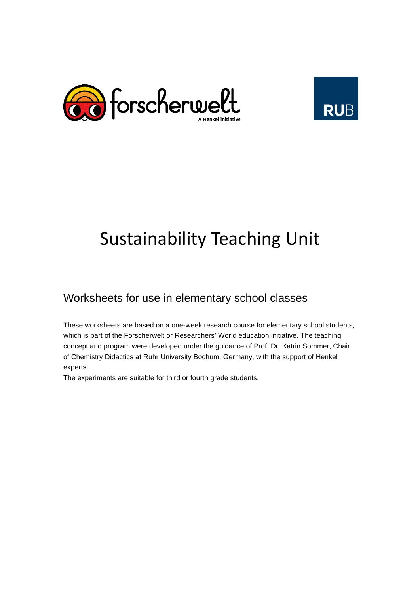



# Sustainability Teaching Unit

## Worksheets for use in elementary school classes

These worksheets are based on a one-week research course for elementary school students, which is part of the Forscherwelt or Researchers' World education initiative. The teaching concept and program were developed under the guidance of Prof. Dr. Katrin Sommer, Chair of Chemistry Didactics at Ruhr University Bochum, Germany, with the support of Henkel experts.

The experiments are suitable for third or fourth grade students.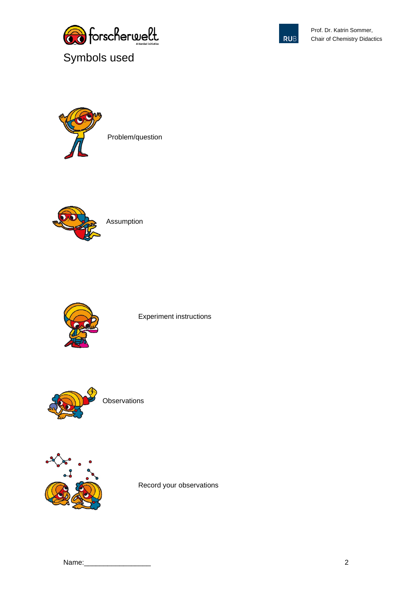





Problem/question



Assumption



Experiment instructions



**Observations** 



Record your observations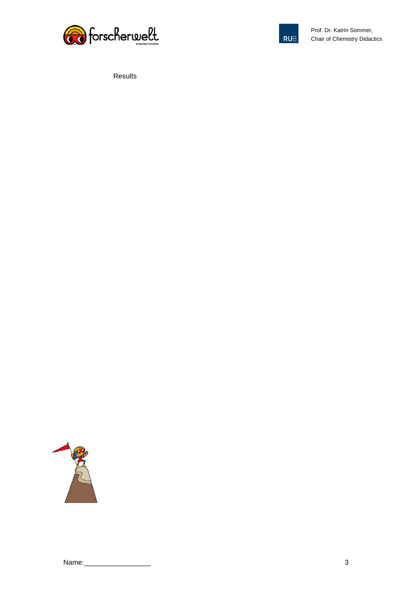



Results

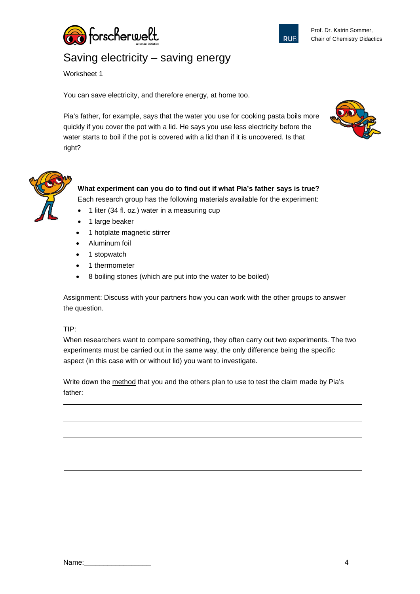

Prof. Dr. Katrin Sommer, Chair of Chemistry Didactics

## Saving electricity – saving energy

Worksheet 1

You can save electricity, and therefore energy, at home too.

Pia's father, for example, says that the water you use for cooking pasta boils more quickly if you cover the pot with a lid. He says you use less electricity before the water starts to boil if the pot is covered with a lid than if it is uncovered. Is that right?





### **What experiment can you do to find out if what Pia's father says is true?**

Each research group has the following materials available for the experiment:

- 1 liter (34 fl. oz.) water in a measuring cup
- 1 large beaker
- 1 hotplate magnetic stirrer
- Aluminum foil
- 1 stopwatch
- 1 thermometer
- 8 boiling stones (which are put into the water to be boiled)

Assignment: Discuss with your partners how you can work with the other groups to answer the question.

#### TIP:

When researchers want to compare something, they often carry out two experiments. The two experiments must be carried out in the same way, the only difference being the specific aspect (in this case with or without lid) you want to investigate.

Write down the method that you and the others plan to use to test the claim made by Pia's father: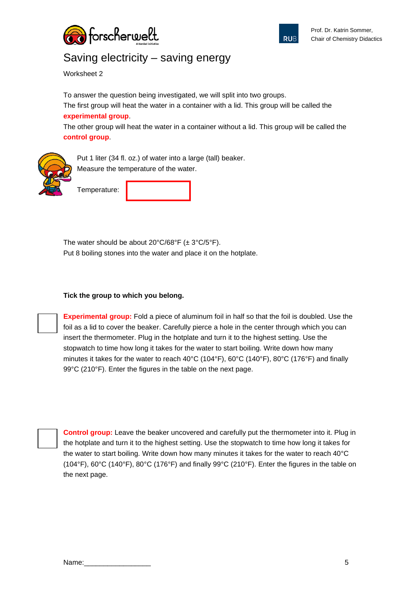



## Saving electricity – saving energy

Worksheet 2

To answer the question being investigated, we will split into two groups. The first group will heat the water in a container with a lid. This group will be called the **experimental group**.

The other group will heat the water in a container without a lid. This group will be called the **control group**.



Put 1 liter (34 fl. oz.) of water into a large (tall) beaker. Measure the temperature of the water.

Temperature:

The water should be about  $20^{\circ}C/68^{\circ}F$  ( $\pm 3^{\circ}C/5^{\circ}F$ ). Put 8 boiling stones into the water and place it on the hotplate.

#### **Tick the group to which you belong.**

**Experimental group:** Fold a piece of aluminum foil in half so that the foil is doubled. Use the foil as a lid to cover the beaker. Carefully pierce a hole in the center through which you can insert the thermometer. Plug in the hotplate and turn it to the highest setting. Use the stopwatch to time how long it takes for the water to start boiling. Write down how many minutes it takes for the water to reach 40°C (104°F), 60°C (140°F), 80°C (176°F) and finally 99°C (210°F). Enter the figures in the table on the next page.



**Control group:** Leave the beaker uncovered and carefully put the thermometer into it. Plug in the hotplate and turn it to the highest setting. Use the stopwatch to time how long it takes for the water to start boiling. Write down how many minutes it takes for the water to reach 40°C (104°F), 60°C (140°F), 80°C (176°F) and finally 99°C (210°F). Enter the figures in the table on the next page.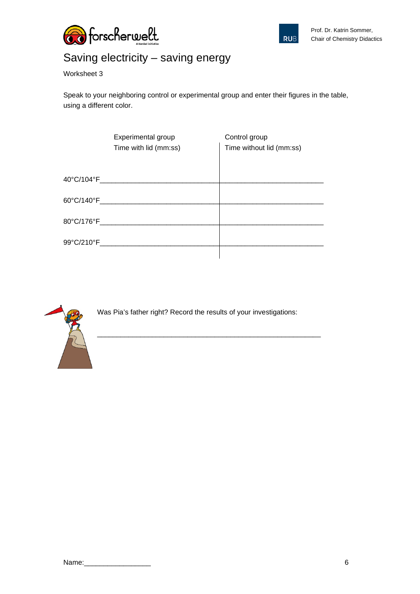



## Saving electricity – saving energy

Worksheet 3

Speak to your neighboring control or experimental group and enter their figures in the table, using a different color.

|            | Experimental group<br>Time with lid (mm:ss) | Control group<br>Time without lid (mm:ss) |
|------------|---------------------------------------------|-------------------------------------------|
|            |                                             |                                           |
|            | 60°C/140°F ________________________         |                                           |
|            |                                             |                                           |
| 99°C/210°F |                                             |                                           |
|            |                                             |                                           |



Was Pia's father right? Record the results of your investigations:

\_\_\_\_\_\_\_\_\_\_\_\_\_\_\_\_\_\_\_\_\_\_\_\_\_\_\_\_\_\_\_\_\_\_\_\_\_\_\_\_\_\_\_\_\_\_\_\_\_\_\_\_\_\_\_\_\_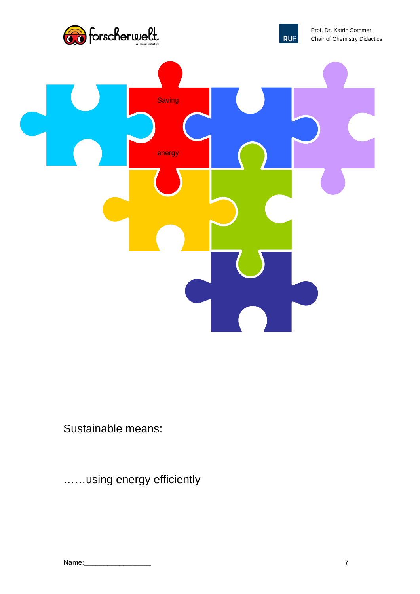



Prof. Dr. Katrin Sommer, Chair of Chemistry Didactics



Sustainable means:

……using energy efficiently

| Name: |  |
|-------|--|
|       |  |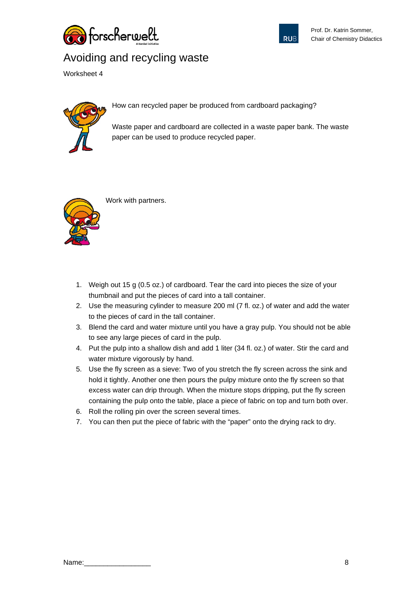



## Avoiding and recycling waste

Worksheet 4



How can recycled paper be produced from cardboard packaging?

Waste paper and cardboard are collected in a waste paper bank. The waste paper can be used to produce recycled paper.



Work with partners.

- 1. Weigh out 15 g (0.5 oz.) of cardboard. Tear the card into pieces the size of your thumbnail and put the pieces of card into a tall container.
- 2. Use the measuring cylinder to measure 200 ml (7 fl. oz.) of water and add the water to the pieces of card in the tall container.
- 3. Blend the card and water mixture until you have a gray pulp. You should not be able to see any large pieces of card in the pulp.
- 4. Put the pulp into a shallow dish and add 1 liter (34 fl. oz.) of water. Stir the card and water mixture vigorously by hand.
- 5. Use the fly screen as a sieve: Two of you stretch the fly screen across the sink and hold it tightly. Another one then pours the pulpy mixture onto the fly screen so that excess water can drip through. When the mixture stops dripping, put the fly screen containing the pulp onto the table, place a piece of fabric on top and turn both over.
- 6. Roll the rolling pin over the screen several times.
- 7. You can then put the piece of fabric with the "paper" onto the drying rack to dry.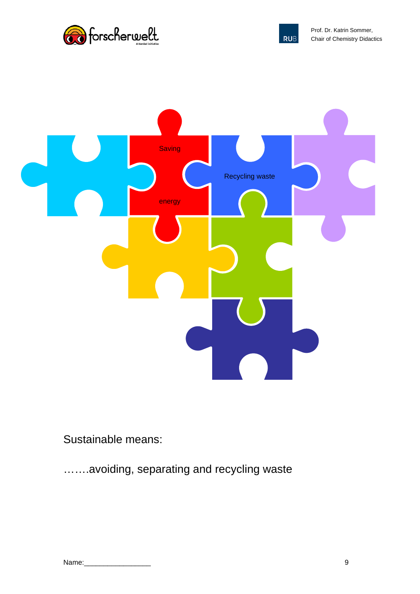





Sustainable means:

…….avoiding, separating and recycling waste

| Name: |  |
|-------|--|
|       |  |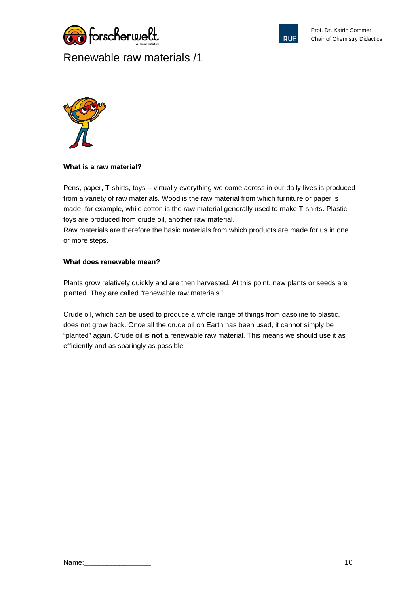





#### **What is a raw material?**

Pens, paper, T-shirts, toys – virtually everything we come across in our daily lives is produced from a variety of raw materials. Wood is the raw material from which furniture or paper is made, for example, while cotton is the raw material generally used to make T-shirts. Plastic toys are produced from crude oil, another raw material.

Raw materials are therefore the basic materials from which products are made for us in one or more steps.

#### **What does renewable mean?**

Plants grow relatively quickly and are then harvested. At this point, new plants or seeds are planted. They are called "renewable raw materials."

Crude oil, which can be used to produce a whole range of things from gasoline to plastic, does not grow back. Once all the crude oil on Earth has been used, it cannot simply be "planted" again. Crude oil is **not** a renewable raw material. This means we should use it as efficiently and as sparingly as possible.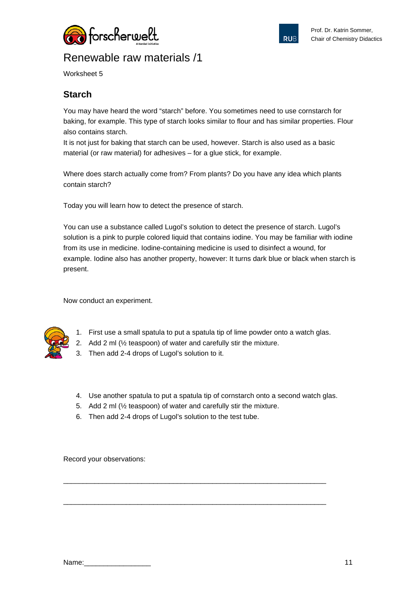



Worksheet 5

### **Starch**

You may have heard the word "starch" before. You sometimes need to use cornstarch for baking, for example. This type of starch looks similar to flour and has similar properties. Flour also contains starch.

It is not just for baking that starch can be used, however. Starch is also used as a basic material (or raw material) for adhesives – for a glue stick, for example.

Where does starch actually come from? From plants? Do you have any idea which plants contain starch?

Today you will learn how to detect the presence of starch.

You can use a substance called Lugol's solution to detect the presence of starch. Lugol's solution is a pink to purple colored liquid that contains iodine. You may be familiar with iodine from its use in medicine. Iodine-containing medicine is used to disinfect a wound, for example. Iodine also has another property, however: It turns dark blue or black when starch is present.

Now conduct an experiment.



- 1. First use a small spatula to put a spatula tip of lime powder onto a watch glas.
- 2. Add 2 ml (½ teaspoon) of water and carefully stir the mixture.
- 3. Then add 2-4 drops of Lugol's solution to it.
- 4. Use another spatula to put a spatula tip of cornstarch onto a second watch glas.

\_\_\_\_\_\_\_\_\_\_\_\_\_\_\_\_\_\_\_\_\_\_\_\_\_\_\_\_\_\_\_\_\_\_\_\_\_\_\_\_\_\_\_\_\_\_\_\_\_\_\_\_\_\_\_\_\_\_\_\_\_\_\_\_\_\_\_

\_\_\_\_\_\_\_\_\_\_\_\_\_\_\_\_\_\_\_\_\_\_\_\_\_\_\_\_\_\_\_\_\_\_\_\_\_\_\_\_\_\_\_\_\_\_\_\_\_\_\_\_\_\_\_\_\_\_\_\_\_\_\_\_\_\_\_

- 5. Add 2 ml (½ teaspoon) of water and carefully stir the mixture.
- 6. Then add 2-4 drops of Lugol's solution to the test tube.

Record your observations: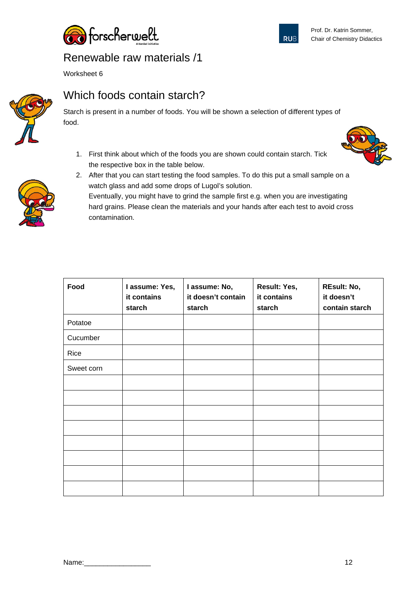



Worksheet 6



## Which foods contain starch?

Starch is present in a number of foods. You will be shown a selection of different types of food.

1. First think about which of the foods you are shown could contain starch. Tick the respective box in the table below.



2. After that you can start testing the food samples. To do this put a small sample on a watch glass and add some drops of Lugol's solution.



Eventually, you might have to grind the sample first e.g. when you are investigating hard grains. Please clean the materials and your hands after each test to avoid cross contamination.

| Food       | I assume: Yes,<br>it contains<br>starch | I assume: No,<br>it doesn't contain<br>starch | Result: Yes,<br>it contains<br>starch | <b>REsult: No,</b><br>it doesn't<br>contain starch |
|------------|-----------------------------------------|-----------------------------------------------|---------------------------------------|----------------------------------------------------|
| Potatoe    |                                         |                                               |                                       |                                                    |
| Cucumber   |                                         |                                               |                                       |                                                    |
| Rice       |                                         |                                               |                                       |                                                    |
| Sweet corn |                                         |                                               |                                       |                                                    |
|            |                                         |                                               |                                       |                                                    |
|            |                                         |                                               |                                       |                                                    |
|            |                                         |                                               |                                       |                                                    |
|            |                                         |                                               |                                       |                                                    |
|            |                                         |                                               |                                       |                                                    |
|            |                                         |                                               |                                       |                                                    |
|            |                                         |                                               |                                       |                                                    |
|            |                                         |                                               |                                       |                                                    |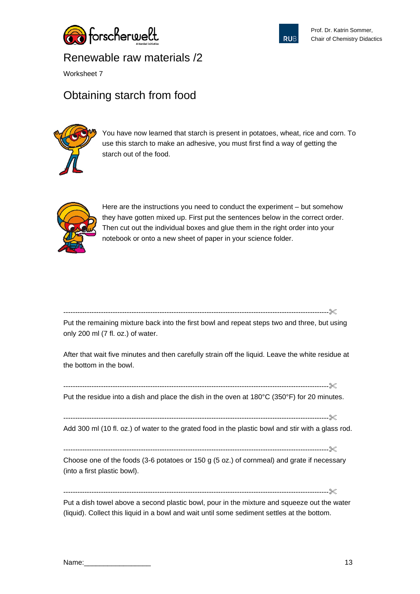



Worksheet 7

## Obtaining starch from food



You have now learned that starch is present in potatoes, wheat, rice and corn. To use this starch to make an adhesive, you must first find a way of getting the starch out of the food.



Here are the instructions you need to conduct the experiment – but somehow they have gotten mixed up. First put the sentences below in the correct order. Then cut out the individual boxes and glue them in the right order into your notebook or onto a new sheet of paper in your science folder.

-----------------------------------------------------------------------------------------------------------------

Put the remaining mixture back into the first bowl and repeat steps two and three, but using only 200 ml (7 fl. oz.) of water.

After that wait five minutes and then carefully strain off the liquid. Leave the white residue at the bottom in the bowl.

-----------------------------------------------------------------------------------------------------------------

Put the residue into a dish and place the dish in the oven at 180°C (350°F) for 20 minutes.

-----------------------------------------------------------------------------------------------------------------

Add 300 ml (10 fl. oz.) of water to the grated food in the plastic bowl and stir with a glass rod.

-----------------------------------------------------------------------------------------------------------------

Choose one of the foods (3-6 potatoes or 150 g (5 oz.) of cornmeal) and grate if necessary (into a first plastic bowl).

-----------------------------------------------------------------------------------------------------------------

Put a dish towel above a second plastic bowl, pour in the mixture and squeeze out the water (liquid). Collect this liquid in a bowl and wait until some sediment settles at the bottom.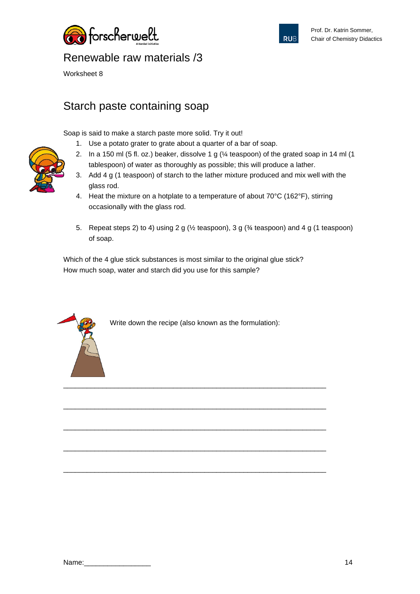



Worksheet 8

## Starch paste containing soap

Soap is said to make a starch paste more solid. Try it out!

- 1. Use a potato grater to grate about a quarter of a bar of soap.
- 2. In a 150 ml (5 fl. oz.) beaker, dissolve 1 g ( $\frac{1}{4}$  teaspoon) of the grated soap in 14 ml (1 tablespoon) of water as thoroughly as possible; this will produce a lather.
- 3. Add 4 g (1 teaspoon) of starch to the lather mixture produced and mix well with the glass rod.
- 4. Heat the mixture on a hotplate to a temperature of about 70°C (162°F), stirring occasionally with the glass rod.
- 5. Repeat steps 2) to 4) using 2 g (½ teaspoon), 3 g (¾ teaspoon) and 4 g (1 teaspoon) of soap.

Which of the 4 glue stick substances is most similar to the original glue stick? How much soap, water and starch did you use for this sample?



Write down the recipe (also known as the formulation):

\_\_\_\_\_\_\_\_\_\_\_\_\_\_\_\_\_\_\_\_\_\_\_\_\_\_\_\_\_\_\_\_\_\_\_\_\_\_\_\_\_\_\_\_\_\_\_\_\_\_\_\_\_\_\_\_\_\_\_\_\_\_\_\_\_\_\_

\_\_\_\_\_\_\_\_\_\_\_\_\_\_\_\_\_\_\_\_\_\_\_\_\_\_\_\_\_\_\_\_\_\_\_\_\_\_\_\_\_\_\_\_\_\_\_\_\_\_\_\_\_\_\_\_\_\_\_\_\_\_\_\_\_\_\_

\_\_\_\_\_\_\_\_\_\_\_\_\_\_\_\_\_\_\_\_\_\_\_\_\_\_\_\_\_\_\_\_\_\_\_\_\_\_\_\_\_\_\_\_\_\_\_\_\_\_\_\_\_\_\_\_\_\_\_\_\_\_\_\_\_\_\_

\_\_\_\_\_\_\_\_\_\_\_\_\_\_\_\_\_\_\_\_\_\_\_\_\_\_\_\_\_\_\_\_\_\_\_\_\_\_\_\_\_\_\_\_\_\_\_\_\_\_\_\_\_\_\_\_\_\_\_\_\_\_\_\_\_\_\_

\_\_\_\_\_\_\_\_\_\_\_\_\_\_\_\_\_\_\_\_\_\_\_\_\_\_\_\_\_\_\_\_\_\_\_\_\_\_\_\_\_\_\_\_\_\_\_\_\_\_\_\_\_\_\_\_\_\_\_\_\_\_\_\_\_\_\_

| Name: |  |
|-------|--|
|       |  |

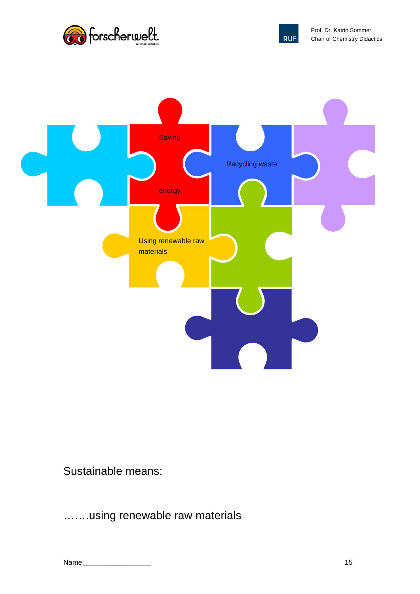





Sustainable means:

…….using renewable raw materials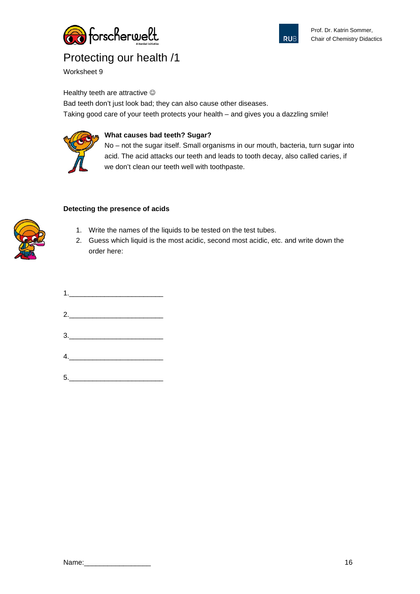



Worksheet 9

Healthy teeth are attractive  $\odot$ 

Bad teeth don't just look bad; they can also cause other diseases. Taking good care of your teeth protects your health – and gives you a dazzling smile!

### **What causes bad teeth? Sugar?**

No – not the sugar itself. Small organisms in our mouth, bacteria, turn sugar into acid. The acid attacks our teeth and leads to tooth decay, also called caries, if we don't clean our teeth well with toothpaste.

#### **Detecting the presence of acids**

- 1. Write the names of the liquids to be tested on the test tubes.
- 2. Guess which liquid is the most acidic, second most acidic, etc. and write down the order here:

| 1. |  |  |
|----|--|--|
| 2. |  |  |
|    |  |  |
|    |  |  |
|    |  |  |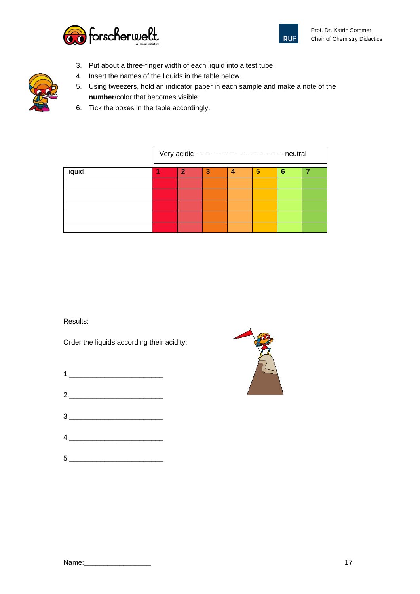



- 3. Put about a three-finger width of each liquid into a test tube.
- 4. Insert the names of the liquids in the table below.
- 5. Using tweezers, hold an indicator paper in each sample and make a note of the **number**/color that becomes visible.
- 6. Tick the boxes in the table accordingly.

|        | Very acidic ---------------------------------<br>-neutral |   |   |   |   |   |  |
|--------|-----------------------------------------------------------|---|---|---|---|---|--|
| liquid |                                                           | 2 | з | 4 | 5 | 6 |  |
|        |                                                           |   |   |   |   |   |  |
|        |                                                           |   |   |   |   |   |  |
|        |                                                           |   |   |   |   |   |  |
|        |                                                           |   |   |   |   |   |  |
|        |                                                           |   |   |   |   |   |  |

Results:

Order the liquids according their acidity:

- 1.\_\_\_\_\_\_\_\_\_\_\_\_\_\_\_\_\_\_\_\_\_\_\_\_
- 2.\_\_\_\_\_\_\_\_\_\_\_\_\_\_\_\_\_\_\_\_\_\_\_\_
- 3.\_\_\_\_\_\_\_\_\_\_\_\_\_\_\_\_\_\_\_\_\_\_\_\_
- $4.$
- 5.\_\_\_\_\_\_\_\_\_\_\_\_\_\_\_\_\_\_\_\_\_\_\_\_



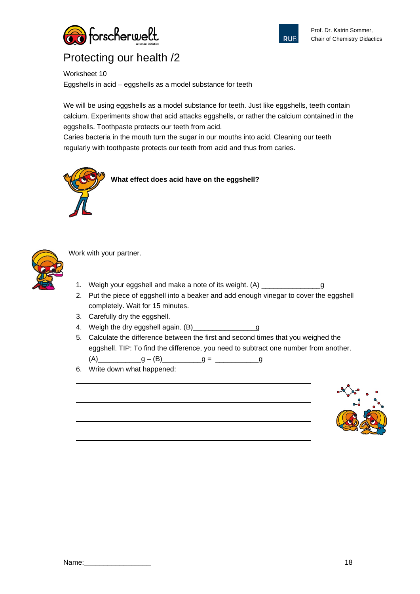



Worksheet 10

Eggshells in acid – eggshells as a model substance for teeth

We will be using eggshells as a model substance for teeth. Just like eggshells, teeth contain calcium. Experiments show that acid attacks eggshells, or rather the calcium contained in the eggshells. Toothpaste protects our teeth from acid.

Caries bacteria in the mouth turn the sugar in our mouths into acid. Cleaning our teeth regularly with toothpaste protects our teeth from acid and thus from caries.





Work with your partner.

- 1. Weigh your eggshell and make a note of its weight. (A) \_\_\_\_\_\_\_\_\_\_\_\_\_\_\_\_\_\_\_\_\_\_
- 2. Put the piece of eggshell into a beaker and add enough vinegar to cover the eggshell completely. Wait for 15 minutes.
- 3. Carefully dry the eggshell.
- 4. Weigh the dry eggshell again. (B)\_\_\_\_\_\_\_\_\_\_\_\_\_\_\_\_\_\_\_g
- 5. Calculate the difference between the first and second times that you weighed the eggshell. TIP: To find the difference, you need to subtract one number from another. (A)  $g - (B)$   $g =$   $\frac{g - (B)}{g}$ 
	-
- 6. Write down what happened:

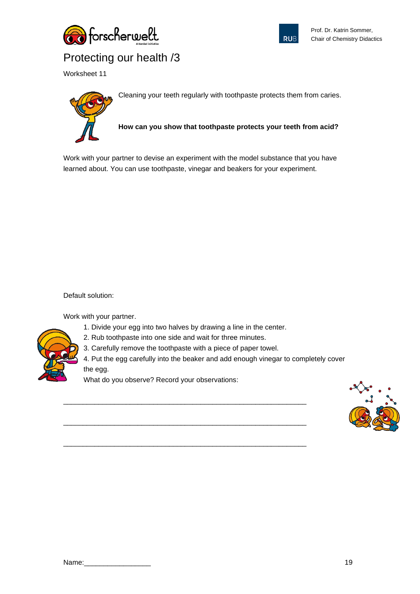



Worksheet 11



Cleaning your teeth regularly with toothpaste protects them from caries.

**How can you show that toothpaste protects your teeth from acid?**

Work with your partner to devise an experiment with the model substance that you have learned about. You can use toothpaste, vinegar and beakers for your experiment.

Default solution:

Work with your partner.

1. Divide your egg into two halves by drawing a line in the center.

\_\_\_\_\_\_\_\_\_\_\_\_\_\_\_\_\_\_\_\_\_\_\_\_\_\_\_\_\_\_\_\_\_\_\_\_\_\_\_\_\_\_\_\_\_\_\_\_\_\_\_\_\_\_\_\_\_\_\_\_\_\_

\_\_\_\_\_\_\_\_\_\_\_\_\_\_\_\_\_\_\_\_\_\_\_\_\_\_\_\_\_\_\_\_\_\_\_\_\_\_\_\_\_\_\_\_\_\_\_\_\_\_\_\_\_\_\_\_\_\_\_\_\_\_

\_\_\_\_\_\_\_\_\_\_\_\_\_\_\_\_\_\_\_\_\_\_\_\_\_\_\_\_\_\_\_\_\_\_\_\_\_\_\_\_\_\_\_\_\_\_\_\_\_\_\_\_\_\_\_\_\_\_\_\_\_\_

- 2. Rub toothpaste into one side and wait for three minutes.
- 3. Carefully remove the toothpaste with a piece of paper towel.

4. Put the egg carefully into the beaker and add enough vinegar to completely cover the egg.

What do you observe? Record your observations:

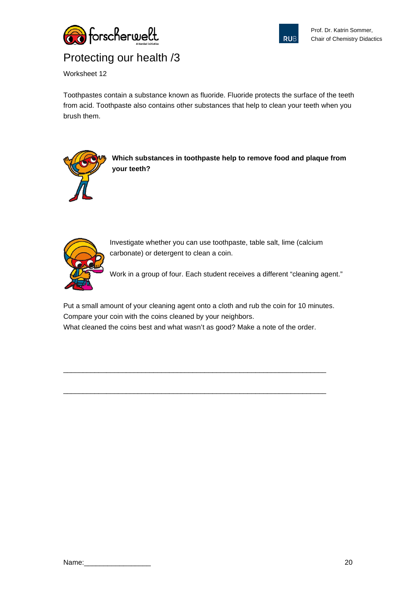



Worksheet 12

Toothpastes contain a substance known as fluoride. Fluoride protects the surface of the teeth from acid. Toothpaste also contains other substances that help to clean your teeth when you brush them.



**Which substances in toothpaste help to remove food and plaque from your teeth?**



Investigate whether you can use toothpaste, table salt, lime (calcium carbonate) or detergent to clean a coin.

Work in a group of four. Each student receives a different "cleaning agent."

Put a small amount of your cleaning agent onto a cloth and rub the coin for 10 minutes. Compare your coin with the coins cleaned by your neighbors. What cleaned the coins best and what wasn't as good? Make a note of the order.

\_\_\_\_\_\_\_\_\_\_\_\_\_\_\_\_\_\_\_\_\_\_\_\_\_\_\_\_\_\_\_\_\_\_\_\_\_\_\_\_\_\_\_\_\_\_\_\_\_\_\_\_\_\_\_\_\_\_\_\_\_\_\_\_\_\_\_

\_\_\_\_\_\_\_\_\_\_\_\_\_\_\_\_\_\_\_\_\_\_\_\_\_\_\_\_\_\_\_\_\_\_\_\_\_\_\_\_\_\_\_\_\_\_\_\_\_\_\_\_\_\_\_\_\_\_\_\_\_\_\_\_\_\_\_